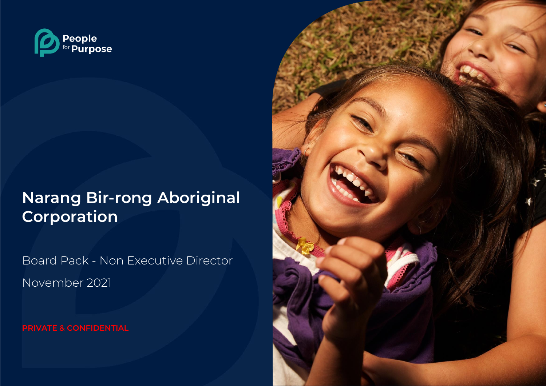

# **Narang Bir-rong Aboriginal Corporation**

Board Pack - Non Executive Director November 2021

**PRIVATE & CONFIDENTIAL**

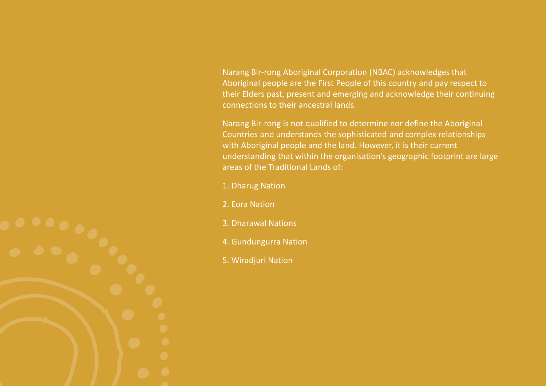Narang Bir-rong Aboriginal Corporation (NBAC) acknowledges that Aboriginal people are the First People of this country and pay respect to their Elders past, present and emerging and acknowledge their continuing connections to their ancestral lands.

Narang Bir-rong is not qualified to determine nor define the Aboriginal Countries and understands the sophisticated and complex relationships with Aboriginal people and the land. However, it is their current understanding that within the organisation's geographic footprint are large areas of the Traditional Lands of:

- 1. Dharug Nation
- 2. Eora Nation
- 3. Dharawal Nations
- 4. Gundungurra Nation
- 5. Wiradjuri Nation

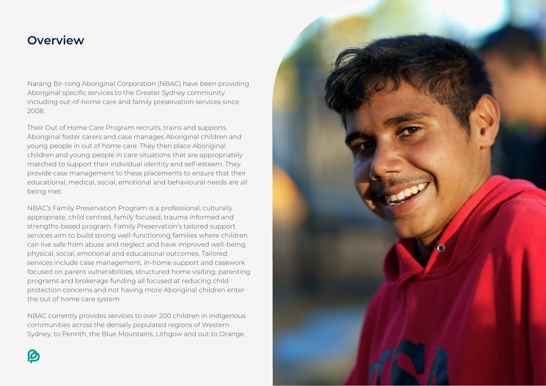### **Overview**

Narang Bir-rong Aboriginal Corporation (NBAC) have been providing Aboriginal specific services to the Greater Sydney community including out-of-home care and family preservation services since 2008.

Their Out of Home Care Program recruits, trains and supports Aboriginal foster carers and case manages Aboriginal children and young people in out of home care. They then place Aboriginal children and young people in care situations that are appropriately matched to support their individual identity and self-esteem. They provide case management to these placements to ensure that their educational, medical, social, emotional and behavioural needs are all being met.

NBAC's Family Preservation Program is a professional, culturally appropriate, child centred, family focused, trauma informed and strengths-based program. Family Preservation's tailored support services aim to build strong well-functioning families where children can live safe from abuse and neglect and have improved well-being, physical, social, emotional and educational outcomes. Tailored services include case management, in-home support and casework focused on parent vulnerabilities, structured home visiting, parenting programs and brokerage funding all focused at reducing child protection concerns and not having more Aboriginal children enter the out of home care system.

NBAC currently provides services to over 200 children in Indigenous communities across the densely populated regions of Western Sydney, to Penrith, the Blue Mountains, Lithgow and out to Orange.

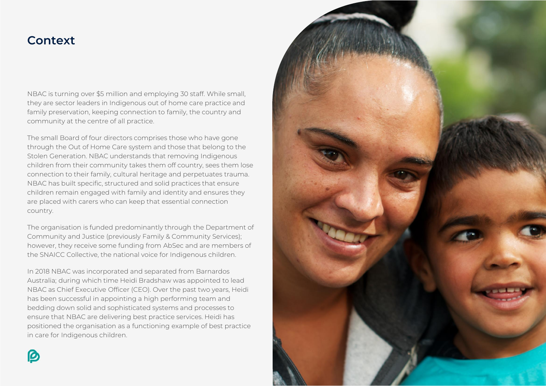### **Context**

NBAC is turning over \$5 million and employing 30 staff. While small, they are sector leaders in Indigenous out of home care practice and family preservation, keeping connection to family, the country and community at the centre of all practice.

The small Board of four directors comprises those who have gone through the Out of Home Care system and those that belong to the Stolen Generation. NBAC understands that removing Indigenous children from their community takes them off country, sees them lose connection to their family, cultural heritage and perpetuates trauma. NBAC has built specific, structured and solid practices that ensure children remain engaged with family and identity and ensures they are placed with carers who can keep that essential connection country.

The organisation is funded predominantly through the Department of Community and Justice (previously Family & Community Services); however, they receive some funding from AbSec and are members of the SNAICC Collective, the national voice for Indigenous children.

In 2018 NBAC was incorporated and separated from Barnardos Australia; during which time Heidi Bradshaw was appointed to lead NBAC as Chief Executive Officer (CEO). Over the past two years, Heidi has been successful in appointing a high performing team and bedding down solid and sophisticated systems and processes to ensure that NBAC are delivering best practice services. Heidi has positioned the organisation as a functioning example of best practice in care for Indigenous children.

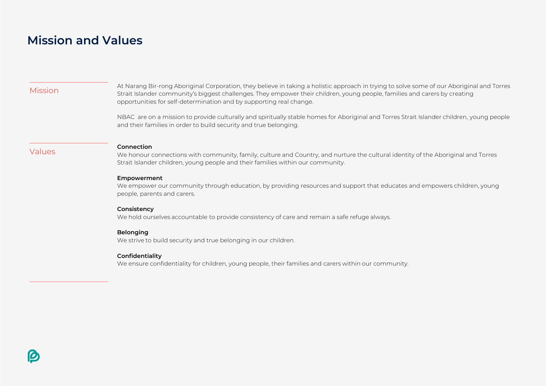### **Mission and Values**

| <b>Mission</b> | At Narang Bir-rong Aboriginal Corporation, they believe in taking a holistic approach in trying to solve some of our Aboriginal and Torres<br>Strait Islander community's biggest challenges. They empower their children, young people, families and carers by creating<br>opportunities for self-determination and by supporting real change. |
|----------------|-------------------------------------------------------------------------------------------------------------------------------------------------------------------------------------------------------------------------------------------------------------------------------------------------------------------------------------------------|
|                | NBAC are on a mission to provide culturally and spiritually stable homes for Aboriginal and Torres Strait Islander children, young people<br>and their families in order to build security and true belonging.                                                                                                                                  |
| <b>Values</b>  | Connection<br>We honour connections with community, family, culture and Country, and nurture the cultural identity of the Aboriginal and Torres<br>Strait Islander children, young people and their families within our community.                                                                                                              |
|                | <b>Empowerment</b><br>We empower our community through education, by providing resources and support that educates and empowers children, young<br>people, parents and carers.                                                                                                                                                                  |
|                | Consistency<br>We hold ourselves accountable to provide consistency of care and remain a safe refuge always.                                                                                                                                                                                                                                    |
|                | <b>Belonging</b><br>We strive to build security and true belonging in our children.                                                                                                                                                                                                                                                             |
|                | Confidentiality<br>We ensure confidentiality for children, young people, their families and carers within our community.                                                                                                                                                                                                                        |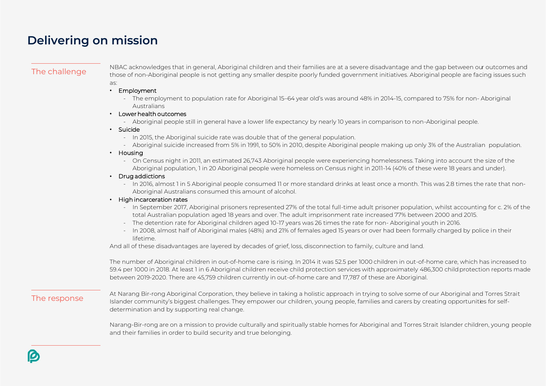### **Delivering on mission**

NBAC acknowledges that in general, Aboriginal children and their families are at a severe disadvantage and the gap between our outcomes and<br>The challenge these of non-aboriginal poople is not gotting any smaller degrite po those of non-Aboriginal people is not getting any smaller despite poorly funded government initiatives. Aboriginal people are facing issues such as:

- Employment
	- The employment to population rate for Aboriginal 15–64 year old's was around 48% in 2014-15, compared to 75% for non- Aboriginal Australians
- Lower health outcomes
	- Aboriginal people still in general have a lower life expectancy by nearly 10 years in comparison to non-Aboriginal people.
- Suicide
	- In 2015, the Aboriginal suicide rate was double that of the general population.
	- Aboriginal suicide increased from 5% in 1991, to 50% in 2010, despite Aboriginal people making up only 3% of the Australian population.

#### • Housing

- On Census night in 2011, an estimated 26,743 Aboriginal people were experiencing homelessness. Taking into account the size of the Aboriginal population, 1 in 20 Aboriginal people were homeless on Census night in 2011-14 (40% of these were 18 years and under).
- Drug addictions
	- In 2016, almost 1 in 5 Aboriginal people consumed 11 or more standard drinks at least once a month. This was 2.8 times the rate that non-Aboriginal Australians consumed this amount of alcohol.

#### • High incarceration rates

- In September 2017, Aboriginal prisoners represented 27% of the total full-time adult prisoner population, whilst accounting for c. 2% of the total Australian population aged 18 years and over. The adult imprisonment rate increased 77% between 2000 and 2015.
- The detention rate for Aboriginal children aged 10-17 years was 26 times the rate for non- Aboriginal youth in 2016.
- In 2008, almost half of Aboriginal males (48%) and 21% of females aged 15 years or over had been formally charged by police in their lifetime.

And all of these disadvantages are layered by decades of grief, loss, disconnection to family, culture and land.

The number of Aboriginal children in out-of-home care is rising. In 2014 it was 52.5 per 1000 children in out-of-home care, which has increased to 59.4 per 1000 in 2018. At least 1 in 6 Aboriginal children receive child protection services with approximately 486,300 childprotection reports made between 2019-2020. There are 45,759 children currently in out-of-home care and 17,787 of these are Aboriginal.

At Narang Bir-rong Aboriginal Corporation, they believe in taking a holistic approach in trying to solve some of our Aboriginal and Torres Strait<br>The response and strait and the solve some unity's biggest challenges. They Islander community's biggest challenges. They empower our children, young people, families and carers by creating opportunities for selfdetermination and by supporting real change.

> Narang-Bir-rong are on a mission to provide culturally and spiritually stable homes for Aboriginal and Torres Strait Islander children, young people and their families in order to build security and true belonging.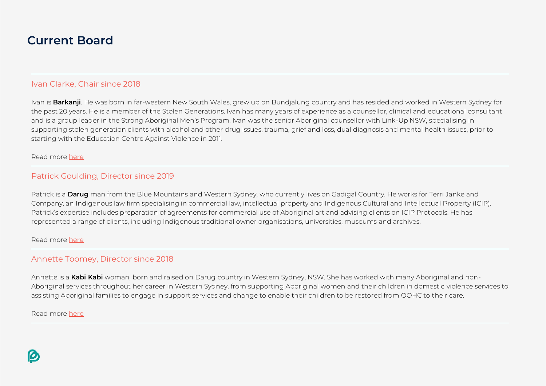### **Current Board**

#### Ivan Clarke, Chair since 2018

Ivan is **Barkanji**. He was born in far-western New South Wales, grew up on Bundjalung country and has resided and worked in Western Sydney for the past 20 years. He is a member of the Stolen Generations. Ivan has many years of experience as a counsellor, clinical and educational consultant and is a group leader in the Strong Aboriginal Men's Program. Ivan was the senior Aboriginal counsellor with Link-Up NSW, specialising in supporting stolen generation clients with alcohol and other drug issues, trauma, grief and loss, dual diagnosis and mental health issues, prior to starting with the Education Centre Against Violence in 2011.

#### Read more [here](https://nbac.org.au/ivan-clarke/)

#### Patrick Goulding, Director since 2019

Patrick is a **Darug** man from the Blue Mountains and Western Sydney, who currently lives on Gadigal Country. He works for Terri Janke and Company, an Indigenous law firm specialising in commercial law, intellectual property and Indigenous Cultural and Intellectual Property (ICIP). Patrick's expertise includes preparation of agreements for commercial use of Aboriginal art and advising clients on ICIP Protocols. He has represented a range of clients, including Indigenous traditional owner organisations, universities, museums and archives.

#### Read more [here](https://nbac.org.au/patrick-goulding/)

#### Annette Toomey, Director since 2018

Annette is a **Kabi Kabi** woman, born and raised on Darug country in Western Sydney, NSW. She has worked with many Aboriginal and non-Aboriginal services throughout her career in Western Sydney, from supporting Aboriginal women and their children in domestic violence services to assisting Aboriginal families to engage in support services and change to enable their children to be restored from OOHC to their care.

Read more [here](https://nbac.org.au/annette-toomey/)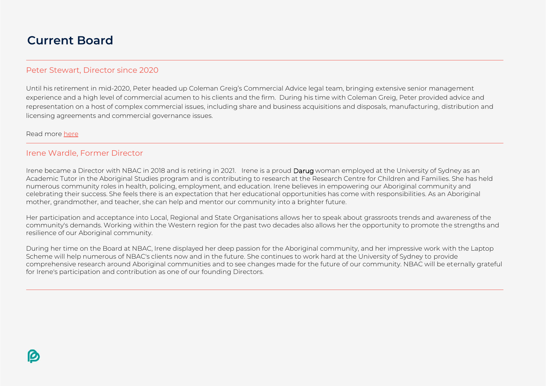### **Current Board**

#### Peter Stewart, Director since 2020

Until his retirement in mid-2020, Peter headed up Coleman Greig's Commercial Advice legal team, bringing extensive senior management experience and a high level of commercial acumen to his clients and the firm. During his time with Coleman Greig, Peter provided advice and representation on a host of complex commercial issues, including share and business acquisitions and disposals, manufacturing, distribution and licensing agreements and commercial governance issues.

Read more [here](https://nbac.org.au/peter-stewart/)

#### Irene Wardle, Former Director

Irene became a Director with NBAC in 2018 and is retiring in 2021. Irene is a proud Darug woman employed at the University of Sydney as an Academic Tutor in the Aboriginal Studies program and is contributing to research at the Research Centre for Children and Families. She has held numerous community roles in health, policing, employment, and education. Irene believes in empowering our Aboriginal community and celebrating their success. She feels there is an expectation that her educational opportunities has come with responsibilities. As an Aboriginal mother, grandmother, and teacher, she can help and mentor our community into a brighter future.

Her participation and acceptance into Local, Regional and State Organisations allows her to speak about grassroots trends and awareness of the community's demands. Working within the Western region for the past two decades also allows her the opportunity to promote the strengths and resilience of our Aboriginal community.

During her time on the Board at NBAC, Irene displayed her deep passion for the Aboriginal community, and her impressive work with the Laptop Scheme will help numerous of NBAC's clients now and in the future. She continues to work hard at the University of Sydney to provide comprehensive research around Aboriginal communities and to see changes made for the future of our community. NBAC will be eternally grateful for Irene's participation and contribution as one of our founding Directors.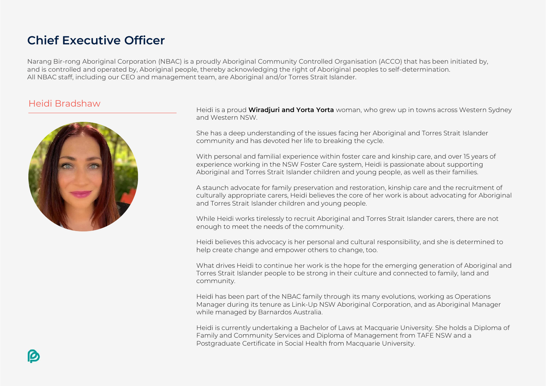### **Chief Executive Officer**

Narang Bir-rong Aboriginal Corporation (NBAC) is a proudly Aboriginal Community Controlled Organisation (ACCO) that has been initiated by, and is controlled and operated by, Aboriginal people, thereby acknowledging the right of Aboriginal peoples to self-determination. All NBAC staff, including our CEO and management team, are Aboriginal and/or Torres Strait Islander.

### Heidi Bradshaw



Heidi is a proud **Wiradjuri and Yorta Yorta** woman, who grew up in towns across Western Sydney and Western NSW.

She has a deep understanding of the issues facing her Aboriginal and Torres Strait Islander community and has devoted her life to breaking the cycle.

With personal and familial experience within foster care and kinship care, and over 15 years of experience working in the NSW Foster Care system, Heidi is passionate about supporting Aboriginal and Torres Strait Islander children and young people, as well as their families.

A staunch advocate for family preservation and restoration, kinship care and the recruitment of culturally appropriate carers, Heidi believes the core of her work is about advocating for Aboriginal and Torres Strait Islander children and young people.

While Heidi works tirelessly to recruit Aboriginal and Torres Strait Islander carers, there are not enough to meet the needs of the community.

Heidi believes this advocacy is her personal and cultural responsibility, and she is determined to help create change and empower others to change, too.

What drives Heidi to continue her work is the hope for the emerging generation of Aboriginal and Torres Strait Islander people to be strong in their culture and connected to family, land and community.

Heidi has been part of the NBAC family through its many evolutions, working as Operations Manager during its tenure as Link-Up NSW Aboriginal Corporation, and as Aboriginal Manager while managed by Barnardos Australia.

Heidi is currently undertaking a Bachelor of Laws at Macquarie University. She holds a Diploma of Family and Community Services and Diploma of Management from TAFE NSW and a Postgraduate Certificate in Social Health from Macquarie University.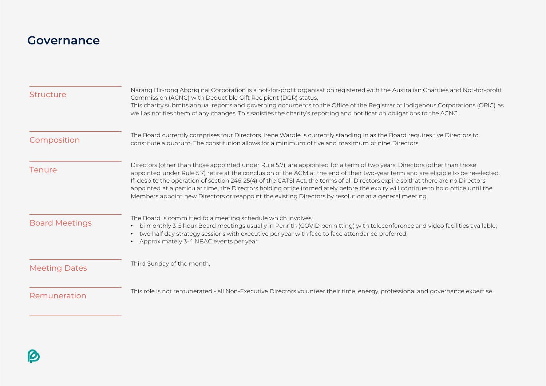### **Governance**

| <b>Structure</b>      | Narang Bir-rong Aboriginal Corporation is a not-for-profit organisation registered with the Australian Charities and Not-for-profit<br>Commission (ACNC) with Deductible Gift Recipient (DGR) status.<br>This charity submits annual reports and governing documents to the Office of the Registrar of Indigenous Corporations (ORIC) as<br>well as notifies them of any changes. This satisfies the charity's reporting and notification obligations to the ACNC.                                                                                                                                                                                 |
|-----------------------|----------------------------------------------------------------------------------------------------------------------------------------------------------------------------------------------------------------------------------------------------------------------------------------------------------------------------------------------------------------------------------------------------------------------------------------------------------------------------------------------------------------------------------------------------------------------------------------------------------------------------------------------------|
| Composition           | The Board currently comprises four Directors. Irene Wardle is currently standing in as the Board requires five Directors to<br>constitute a quorum. The constitution allows for a minimum of five and maximum of nine Directors.                                                                                                                                                                                                                                                                                                                                                                                                                   |
| Tenure                | Directors (other than those appointed under Rule 5.7), are appointed for a term of two years. Directors (other than those<br>appointed under Rule 5.7) retire at the conclusion of the AGM at the end of their two-year term and are eligible to be re-elected.<br>If, despite the operation of section 246-25(4) of the CATSI Act, the terms of all Directors expire so that there are no Directors<br>appointed at a particular time, the Directors holding office immediately before the expiry will continue to hold office until the<br>Members appoint new Directors or reappoint the existing Directors by resolution at a general meeting. |
| <b>Board Meetings</b> | The Board is committed to a meeting schedule which involves:<br>bi monthly 3-5 hour Board meetings usually in Penrith (COVID permitting) with teleconference and video facilities available;<br>$\bullet$<br>two half day strategy sessions with executive per year with face to face attendance preferred;<br>$\bullet$<br>Approximately 3-4 NBAC events per year                                                                                                                                                                                                                                                                                 |
| <b>Meeting Dates</b>  | Third Sunday of the month.                                                                                                                                                                                                                                                                                                                                                                                                                                                                                                                                                                                                                         |
| Remuneration          | This role is not remunerated - all Non-Executive Directors volunteer their time, energy, professional and governance expertise.                                                                                                                                                                                                                                                                                                                                                                                                                                                                                                                    |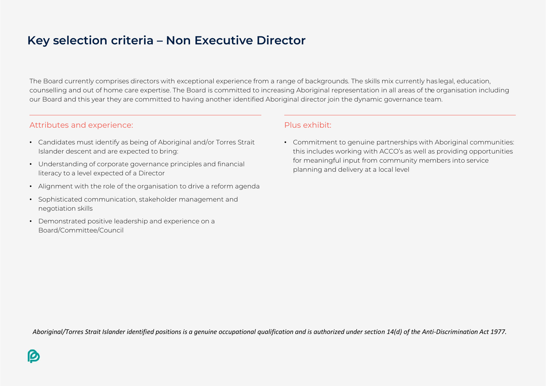### **Key selection criteria – Non Executive Director**

The Board currently comprises directors with exceptional experience from a range of backgrounds. The skills mix currently haslegal, education, counselling and out of home care expertise. The Board is committed to increasing Aboriginal representation in all areas of the organisation including our Board and this year they are committed to having another identified Aboriginal director join the dynamic governance team.

#### Attributes and experience:

- Candidates must identify as being of Aboriginal and/or Torres Strait Islander descent and are expected to bring:
- Understanding of corporate governance principles and financial literacy to a level expected of a Director
- Alignment with the role of the organisation to drive a reform agenda
- Sophisticated communication, stakeholder management and negotiation skills
- Demonstrated positive leadership and experience on a Board/Committee/Council

#### Plus exhibit:

• Commitment to genuine partnerships with Aboriginal communities: this includes working with ACCO's as well as providing opportunities for meaningful input from community members into service planning and delivery at a local level

*Aboriginal/Torres Strait Islander identified positions is a genuine occupational qualification and is authorized under section 14(d) of the Anti-Discrimination Act 1977.*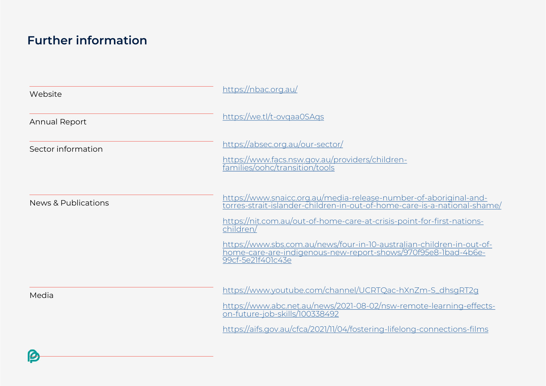## **Further information**

B

| Website              | https://nbac.org.au/                                                                                                                                                                                                                                                                                                                                                                                |
|----------------------|-----------------------------------------------------------------------------------------------------------------------------------------------------------------------------------------------------------------------------------------------------------------------------------------------------------------------------------------------------------------------------------------------------|
| <b>Annual Report</b> | https://we.tl/t-ovgaa0SAgs                                                                                                                                                                                                                                                                                                                                                                          |
| Sector information   | https://absec.org.au/our-sector/<br>https://www.facs.nsw.gov.au/providers/children-<br>families/oohc/transition/tools                                                                                                                                                                                                                                                                               |
| News & Publications  | https://www.snaicc.org.au/media-release-number-of-aboriginal-and-<br>torres-strait-islander-children-in-out-of-home-care-is-a-national-shame/<br>https://nit.com.au/out-of-home-care-at-crisis-point-for-first-nations-<br>children/<br>https://www.sbs.com.au/news/four-in-10-australian-children-in-out-of-<br>home-care-are-indigenous-new-report-shows/970f95e8-1bad-4b6e-<br>99cf-5e21f401c43e |
| Media                | https://www.youtube.com/channel/UCRTQac-hXnZm-S_dhsgRT2g<br>https://www.abc.net.au/news/2021-08-02/nsw-remote-learning-effects-<br>on-future-job-skills/100338492<br>https://aifs.gov.au/cfca/2021/11/04/fostering-lifelong-connections-films                                                                                                                                                       |